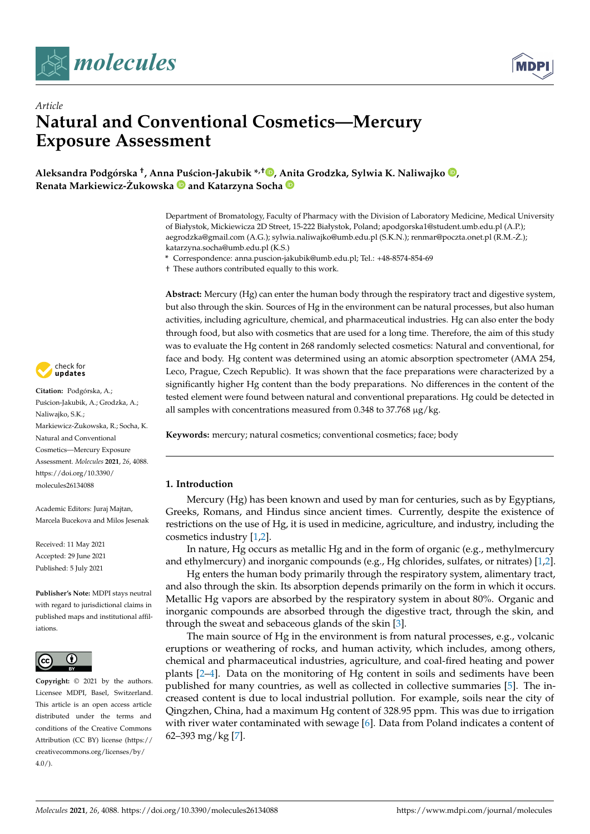



# *Article* **Natural and Conventional Cosmetics—Mercury Exposure Assessment**

**Aleksandra Podgórska † , Anna [Pu](https://orcid.org/0000-0003-0716-9573)´scion-Jakubik \*,† [,](https://orcid.org/0000-0002-8526-8107) [Ani](https://orcid.org/0000-0002-5949-7061)ta Grodzka, Sylwia K. Naliwajko [,](https://orcid.org/0000-0003-3340-6739) Renata Markiewicz-Zukowska ˙ and Katarzyna Socha**

> Department of Bromatology, Faculty of Pharmacy with the Division of Laboratory Medicine, Medical University of Białystok, Mickiewicza 2D Street, 15-222 Białystok, Poland; apodgorska1@student.umb.edu.pl (A.P.); aegrodzka@gmail.com (A.G.); sylwia.naliwajko@umb.edu.pl (S.K.N.); renmar@poczta.onet.pl (R.M.-Z.); ˙ katarzyna.socha@umb.edu.pl (K.S.)

**\*** Correspondence: anna.puscion-jakubik@umb.edu.pl; Tel.: +48-8574-854-69

† These authors contributed equally to this work.

**Abstract:** Mercury (Hg) can enter the human body through the respiratory tract and digestive system, but also through the skin. Sources of Hg in the environment can be natural processes, but also human activities, including agriculture, chemical, and pharmaceutical industries. Hg can also enter the body through food, but also with cosmetics that are used for a long time. Therefore, the aim of this study was to evaluate the Hg content in 268 randomly selected cosmetics: Natural and conventional, for face and body. Hg content was determined using an atomic absorption spectrometer (AMA 254, Leco, Prague, Czech Republic). It was shown that the face preparations were characterized by a significantly higher Hg content than the body preparations. No differences in the content of the tested element were found between natural and conventional preparations. Hg could be detected in all samples with concentrations measured from 0.348 to 37.768 µg/kg.

**Keywords:** mercury; natural cosmetics; conventional cosmetics; face; body

### **1. Introduction**

Mercury (Hg) has been known and used by man for centuries, such as by Egyptians, Greeks, Romans, and Hindus since ancient times. Currently, despite the existence of restrictions on the use of Hg, it is used in medicine, agriculture, and industry, including the cosmetics industry [\[1,](#page-8-0)[2\]](#page-8-1).

In nature, Hg occurs as metallic Hg and in the form of organic (e.g., methylmercury and ethylmercury) and inorganic compounds (e.g., Hg chlorides, sulfates, or nitrates) [\[1](#page-8-0)[,2\]](#page-8-1).

Hg enters the human body primarily through the respiratory system, alimentary tract, and also through the skin. Its absorption depends primarily on the form in which it occurs. Metallic Hg vapors are absorbed by the respiratory system in about 80%. Organic and inorganic compounds are absorbed through the digestive tract, through the skin, and through the sweat and sebaceous glands of the skin [\[3\]](#page-8-2).

The main source of Hg in the environment is from natural processes, e.g., volcanic eruptions or weathering of rocks, and human activity, which includes, among others, chemical and pharmaceutical industries, agriculture, and coal-fired heating and power plants [\[2](#page-8-1)[–4\]](#page-8-3). Data on the monitoring of Hg content in soils and sediments have been published for many countries, as well as collected in collective summaries [\[5\]](#page-8-4). The increased content is due to local industrial pollution. For example, soils near the city of Qingzhen, China, had a maximum Hg content of 328.95 ppm. This was due to irrigation with river water contaminated with sewage [\[6\]](#page-8-5). Data from Poland indicates a content of 62–393 mg/kg [\[7\]](#page-8-6).



**Citation:** Podgórska, A.; Puścion-Jakubik, A.; Grodzka, A.; Naliwajko, S.K.; Markiewicz-Zukowska, R.; Socha, K. ˙ Natural and Conventional Cosmetics—Mercury Exposure Assessment. *Molecules* **2021**, *26*, 4088. [https://doi.org/10.3390/](https://doi.org/10.3390/molecules26134088) [molecules26134088](https://doi.org/10.3390/molecules26134088)

Academic Editors: Juraj Majtan, Marcela Bucekova and Milos Jesenak

Received: 11 May 2021 Accepted: 29 June 2021 Published: 5 July 2021

**Publisher's Note:** MDPI stays neutral with regard to jurisdictional claims in published maps and institutional affiliations.



**Copyright:** © 2021 by the authors. Licensee MDPI, Basel, Switzerland. This article is an open access article distributed under the terms and conditions of the Creative Commons Attribution (CC BY) license (https:/[/](https://creativecommons.org/licenses/by/4.0/) [creativecommons.org/licenses/by/](https://creativecommons.org/licenses/by/4.0/)  $4.0/$ ).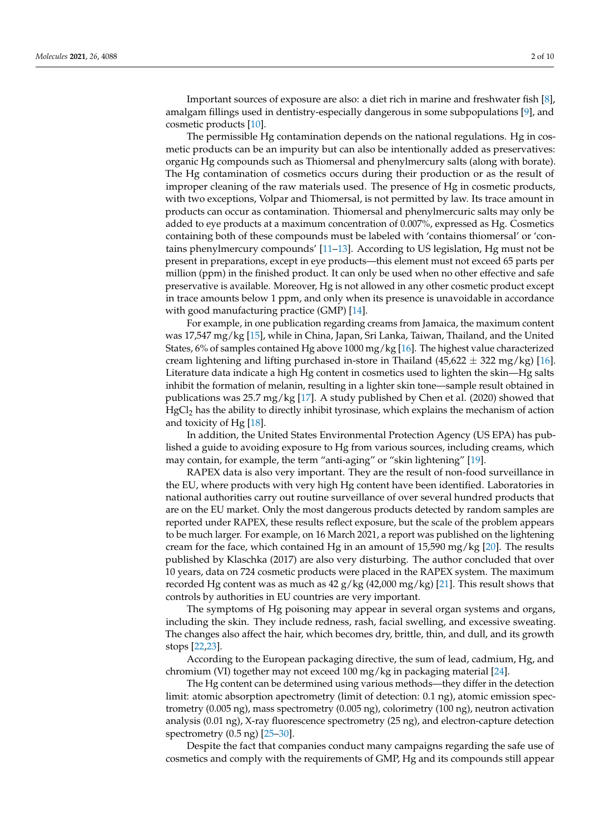Important sources of exposure are also: a diet rich in marine and freshwater fish [\[8\]](#page-8-7), amalgam fillings used in dentistry-especially dangerous in some subpopulations [\[9\]](#page-8-8), and cosmetic products [\[10\]](#page-8-9).

The permissible Hg contamination depends on the national regulations. Hg in cosmetic products can be an impurity but can also be intentionally added as preservatives: organic Hg compounds such as Thiomersal and phenylmercury salts (along with borate). The Hg contamination of cosmetics occurs during their production or as the result of improper cleaning of the raw materials used. The presence of Hg in cosmetic products, with two exceptions, Volpar and Thiomersal, is not permitted by law. Its trace amount in products can occur as contamination. Thiomersal and phenylmercuric salts may only be added to eye products at a maximum concentration of 0.007%, expressed as Hg. Cosmetics containing both of these compounds must be labeled with 'contains thiomersal' or 'contains phenylmercury compounds' [\[11–](#page-8-10)[13\]](#page-8-11). According to US legislation, Hg must not be present in preparations, except in eye products—this element must not exceed 65 parts per million (ppm) in the finished product. It can only be used when no other effective and safe preservative is available. Moreover, Hg is not allowed in any other cosmetic product except in trace amounts below 1 ppm, and only when its presence is unavoidable in accordance with good manufacturing practice (GMP) [\[14\]](#page-8-12).

For example, in one publication regarding creams from Jamaica, the maximum content was 17,547 mg/kg [\[15\]](#page-8-13), while in China, Japan, Sri Lanka, Taiwan, Thailand, and the United States, 6% of samples contained Hg above 1000 mg/kg [\[16\]](#page-8-14). The highest value characterized cream lightening and lifting purchased in-store in Thailand (45,622  $\pm$  322 mg/kg) [\[16\]](#page-8-14). Literature data indicate a high Hg content in cosmetics used to lighten the skin—Hg salts inhibit the formation of melanin, resulting in a lighter skin tone—sample result obtained in publications was 25.7 mg/kg [\[17\]](#page-8-15). A study published by Chen et al. (2020) showed that  $HgCl<sub>2</sub>$  has the ability to directly inhibit tyrosinase, which explains the mechanism of action and toxicity of Hg [\[18\]](#page-8-16).

In addition, the United States Environmental Protection Agency (US EPA) has published a guide to avoiding exposure to Hg from various sources, including creams, which may contain, for example, the term "anti-aging" or "skin lightening" [\[19\]](#page-8-17).

RAPEX data is also very important. They are the result of non-food surveillance in the EU, where products with very high Hg content have been identified. Laboratories in national authorities carry out routine surveillance of over several hundred products that are on the EU market. Only the most dangerous products detected by random samples are reported under RAPEX, these results reflect exposure, but the scale of the problem appears to be much larger. For example, on 16 March 2021, a report was published on the lightening cream for the face, which contained Hg in an amount of  $15,590$  mg/kg [\[20\]](#page-8-18). The results published by Klaschka (2017) are also very disturbing. The author concluded that over 10 years, data on 724 cosmetic products were placed in the RAPEX system. The maximum recorded Hg content was as much as  $42 g/kg (42,000 mg/kg)$  [\[21\]](#page-8-19). This result shows that controls by authorities in EU countries are very important.

The symptoms of Hg poisoning may appear in several organ systems and organs, including the skin. They include redness, rash, facial swelling, and excessive sweating. The changes also affect the hair, which becomes dry, brittle, thin, and dull, and its growth stops [\[22,](#page-8-20)[23\]](#page-8-21).

According to the European packaging directive, the sum of lead, cadmium, Hg, and chromium (VI) together may not exceed 100 mg/kg in packaging material [\[24\]](#page-8-22).

The Hg content can be determined using various methods—they differ in the detection limit: atomic absorption apectrometry (limit of detection: 0.1 ng), atomic emission spectrometry (0.005 ng), mass spectrometry (0.005 ng), colorimetry (100 ng), neutron activation analysis (0.01 ng), X-ray fluorescence spectrometry (25 ng), and electron-capture detection spectrometry (0.5 ng) [\[25–](#page-8-23)[30\]](#page-9-0).

Despite the fact that companies conduct many campaigns regarding the safe use of cosmetics and comply with the requirements of GMP, Hg and its compounds still appear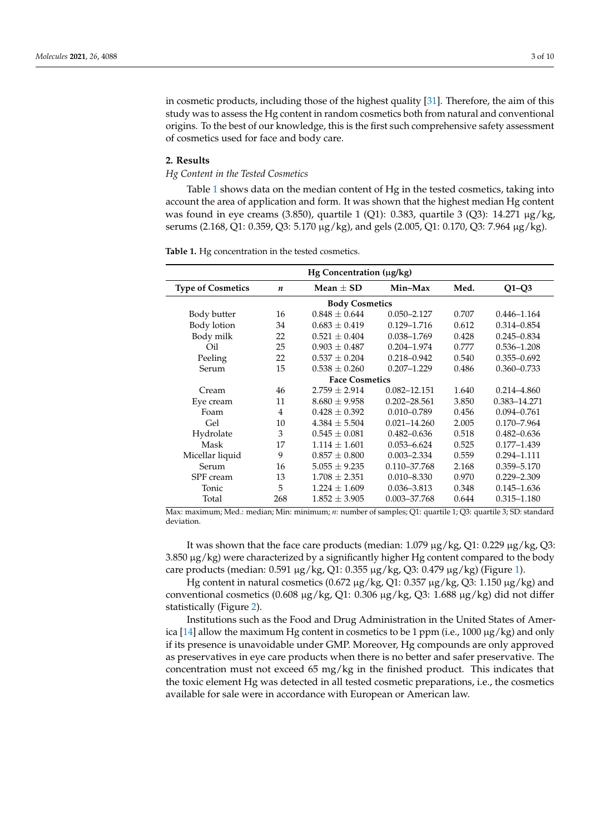in cosmetic products, including those of the highest quality [\[31\]](#page-9-1). Therefore, the aim of this study was to assess the Hg content in random cosmetics both from natural and conventional origins. To the best of our knowledge, this is the first such comprehensive safety assessment of cosmetics used for face and body care.

#### **2. Results**

*Hg Content in the Tested Cosmetics*

Table [1](#page-2-0) shows data on the median content of Hg in the tested cosmetics, taking into account the area of application and form. It was shown that the highest median Hg content was found in eye creams (3.850), quartile 1 (Q1): 0.383, quartile 3 (Q3): 14.271  $\mu$ g/kg, serums (2.168, Q1: 0.359, Q3: 5.170 µg/kg), and gels (2.005, Q1: 0.170, Q3: 7.964 µg/kg).

| Hg Concentration (µg/kg) |                  |                   |                  |       |                 |
|--------------------------|------------------|-------------------|------------------|-------|-----------------|
| <b>Type of Cosmetics</b> | $\boldsymbol{n}$ | Mean $+$ SD       | Min-Max          | Med.  | $Q1-Q3$         |
| <b>Body Cosmetics</b>    |                  |                   |                  |       |                 |
| Body butter              | 16               | $0.848 + 0.644$   | $0.050 - 2.127$  | 0.707 | $0.446 - 1.164$ |
| Body lotion              | 34               | $0.683 \pm 0.419$ | $0.129 - 1.716$  | 0.612 | $0.314 - 0.854$ |
| Body milk                | 22               | $0.521 \pm 0.404$ | 0.038-1.769      | 0.428 | $0.245 - 0.834$ |
| Oil                      | 25               | $0.903 \pm 0.487$ | $0.204 - 1.974$  | 0.777 | $0.536 - 1.208$ |
| Peeling                  | 22               | $0.537 \pm 0.204$ | $0.218 - 0.942$  | 0.540 | $0.355 - 0.692$ |
| Serum                    | 15               | $0.538 \pm 0.260$ | $0.207 - 1.229$  | 0.486 | $0.360 - 0.733$ |
| <b>Face Cosmetics</b>    |                  |                   |                  |       |                 |
| Cream                    | 46               | $2.759 \pm 2.914$ | $0.082 - 12.151$ | 1.640 | $0.214 - 4.860$ |
| Eye cream                | 11               | $8.680 \pm 9.958$ | $0.202 - 28.561$ | 3.850 | 0.383-14.271    |
| Foam                     | 4                | $0.428 \pm 0.392$ | $0.010 - 0.789$  | 0.456 | $0.094 - 0.761$ |
| Gel                      | 10               | $4.384 \pm 5.504$ | $0.021 - 14.260$ | 2.005 | $0.170 - 7.964$ |
| Hydrolate                | 3                | $0.545 \pm 0.081$ | $0.482 - 0.636$  | 0.518 | $0.482 - 0.636$ |
| Mask                     | 17               | $1.114 + 1.601$   | $0.053 - 6.624$  | 0.525 | $0.177 - 1.439$ |
| Micellar liquid          | 9                | $0.857 \pm 0.800$ | $0.003 - 2.334$  | 0.559 | $0.294 - 1.111$ |
| Serum                    | 16               | $5.055 \pm 9.235$ | 0.110-37.768     | 2.168 | 0.359-5.170     |
| SPF cream                | 13               | $1.708 \pm 2.351$ | $0.010 - 8.330$  | 0.970 | $0.229 - 2.309$ |
| Tonic                    | 5                | $1.224 \pm 1.609$ | $0.036 - 3.813$  | 0.348 | $0.145 - 1.636$ |
| Total                    | 268              | $1.852 \pm 3.905$ | 0.003-37.768     | 0.644 | $0.315 - 1.180$ |

<span id="page-2-0"></span>**Table 1.** Hg concentration in the tested cosmetics.

Max: maximum; Med.: median; Min: minimum; *n*: number of samples; Q1: quartile 1; Q3: quartile 3; SD: standard deviation.

It was shown that the face care products (median:  $1.079 \mu g/kg$ , Q1:  $0.229 \mu g/kg$ , Q3:  $3.850 \,\mu$ g/kg) were characterized by a significantly higher Hg content compared to the body care products (median: 0.591 µg/kg, Q1: 0.355 µg/kg, Q3: 0.479 µg/kg) (Figure [1\)](#page-3-0).

Hg content in natural cosmetics  $(0.672 \mu g/kg, Q1: 0.357 \mu g/kg, Q3: 1.150 \mu g/kg)$  and conventional cosmetics (0.608  $\mu$ g/kg, Q1: 0.306  $\mu$ g/kg, Q3: 1.688  $\mu$ g/kg) did not differ statistically (Figure [2\)](#page-3-1).

Institutions such as the Food and Drug Administration in the United States of Amer-ica [\[14\]](#page-8-12) allow the maximum Hg content in cosmetics to be 1 ppm (i.e., 1000  $\mu$ g/kg) and only if its presence is unavoidable under GMP. Moreover, Hg compounds are only approved as preservatives in eye care products when there is no better and safer preservative. The concentration must not exceed 65 mg/kg in the finished product. This indicates that the toxic element Hg was detected in all tested cosmetic preparations, i.e., the cosmetics available for sale were in accordance with European or American law.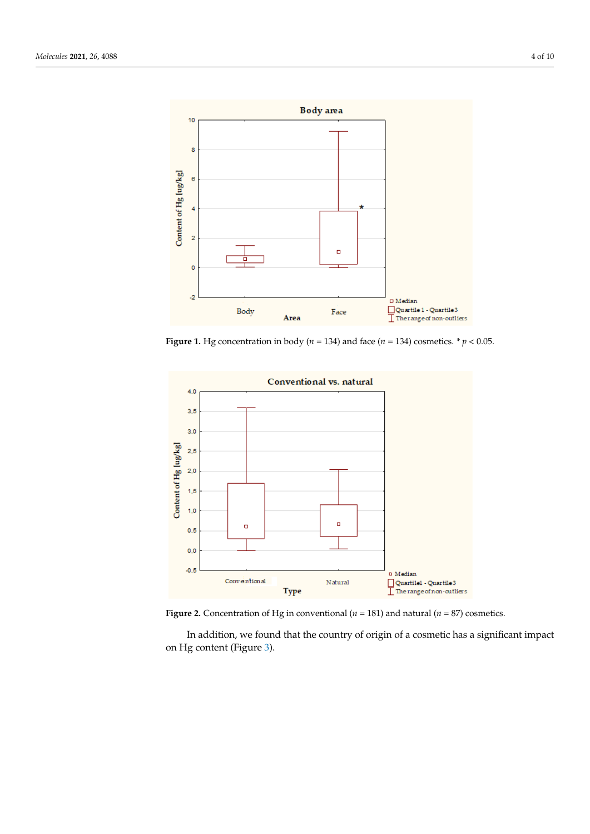<span id="page-3-0"></span>

Figure 1. Hg concentration in body ( $n = 134$ ) and face ( $n = 134$ ) cosmetics. \*  $p < 0.05$ .

<span id="page-3-1"></span>

 $\mathcal{L}$  and that the countries of a cosmetic has a significant impact impact impact impact impact impact impact impact impact impact impact impact impact impact impact impact impact impact impact impact impact impact imp **Figure 2.** Concentration of Hg in conventional ( $n = 181$ ) and natural ( $n = 87$ ) cosmetics.

In addition, we found that the country of origin of a cosmetic has a significant impact on Hg content (Figur[e 3](#page-4-0)). on Hg content (Figure 3).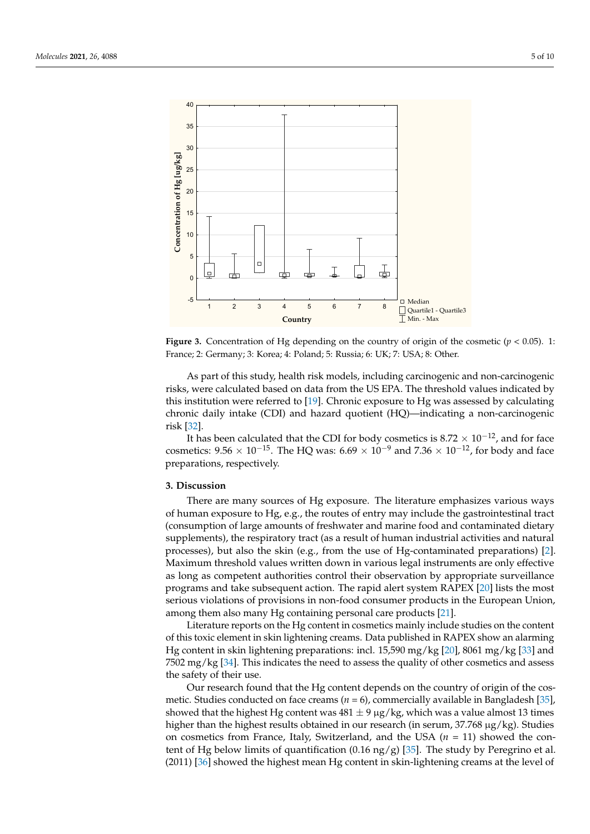<span id="page-4-0"></span>

**Figure 3.** Concentration of Hg depending on the country of origin of the cosmetic (*p* < 0.05). 1: **Figure 3.** Concentration of Hg depending on the country of origin of the cosmetic (*p* < 0.05). 1: France; 2: Germany; 3: Korea; 4: Poland; 5: Russia; 6: UK; 7: USA; 8: Other. France; 2: Germany; 3: Korea; 4: Poland; 5: Russia; 6: UK; 7: USA; 8: Other.

As part of this study, health risk models, including carcinogenic and non-As part of this study, health risk models, including carcinogenic and non-carcinogenic risks, were calculated based on data from the US EPA. The threshold values indicated by this institution w[ere](#page-8-17) referred to [19]. Chronic exposure to Hg was assessed by calculating chronic daily intake (CDI) and hazard quotient (HQ)—indicating a non-carcinogenic carc[ino](#page-9-2)genic risk [32]. risk [32].

It has been calculated that the CDI for body cosmetics is  $8.72 \times 10^{-12}$ , and for face cosmetics:  $9.56 \times 10^{-15}$ . The HQ was:  $6.69 \times 10^{-9}$  and  $7.36 \times 10^{-12}$ , for body and face preparations, respectively. preparations, respectively.

## **3. Discussion 3. Discussion**

There are many sources of Hg exposure. The literature emphasizes various ways human exposure to Hg, e.g., the routes of entry may include the gastrointestinal tract of human exposure to Hg, e.g., the routes of entry may include the gastrointestinal tract (consumption of large amounts of freshwater and marine food and contaminated dietary (consumption of large amounts of freshwater and marine food and contaminated dietary supplements), the respiratory tract (as a result of human industrial activities and natural supplements), the respiratory tract (as a result of human industrial activities and natural processes), but also the skin (e.g., from the use of Hg-contaminated preparations) [2]. processes), but also the skin (e.g., from the use of Hg-contaminated preparations) [\[2\]](#page-8-1). Maximum threshold values written down in various legal instruments are only effective Maximum threshold values written down in various legal instruments are only effective as long as competent authorities control their observation by appropriate surveillance as long as competent authorities control their observation by appropriate surveillance programs and take subsequent action. The rapid alert system RAPEX [20] lists the most programs and take subsequent action. The rapid alert system RAPEX [\[20\]](#page-8-18) lists the most serious violations of provisions in non-food consumer products in the European Union,<br>  $\frac{1}{2}$ among them also many Hg containing personal care products [21]. among them also many Hg containing personal care products [\[21\]](#page-8-19).

Literature reports on the Hg content in cosmetics mainly include studies on the content in content of this toxic element in skin lightening creams. Data published in RAPEX show an alarming<br>Use see tool in skin lightening comparations, incl. 15,500 ms (hs J201,2061 ms (hs J201 ms) Hg content in skin lightening preparations: incl. 15,590 mg/kg [\[20\]](#page-8-18), 8061 mg/kg [\[33\]](#page-9-3) and<br>7502 mg/kg [24]. This indicates the need to assess the surlity of sther assumption of assess  $7502$  mg/kg [\[34\]](#page-9-4). This indicates the need to assess the quality of other cosmetics and assess the cosmetics and assess the safety of their use.

For safety of their tase.<br>Our research found that the Hg content depends on the country of origin of the cos-Our research found that the Hg content depends on the country of origin of the metic. Studies conducted on face creams (*n* = 6), commercially available in Bangladesh [\[35\]](#page-9-5), showed that the highest Hg content was  $481 \pm 9 \mu g/kg$ , which was a value almost 13 times higher than the highest results obtained in our research (in serum,  $37.768 \mu g/kg$ ). Studies times higher than the highest results obtained in our research (in serum, 37.768 µg/kg). on cosmetics from France, Italy, Switzerland, and the USA (*n* = 11) showed the con-tent of Hg below limits of quantification (0.16 ng/g) [\[35\]](#page-9-5). The study by Peregrino et al.  $\frac{1}{2011}$   $\frac{1}{361}$  showed the bighest mean Hg content in skin-lightening creams at the level of (2011) [36] showed the highest mean Hg content in skin-lightening creams at the level of (2011) [\[36\]](#page-9-6) showed the highest mean Hg content in skin-lightening creams at the level of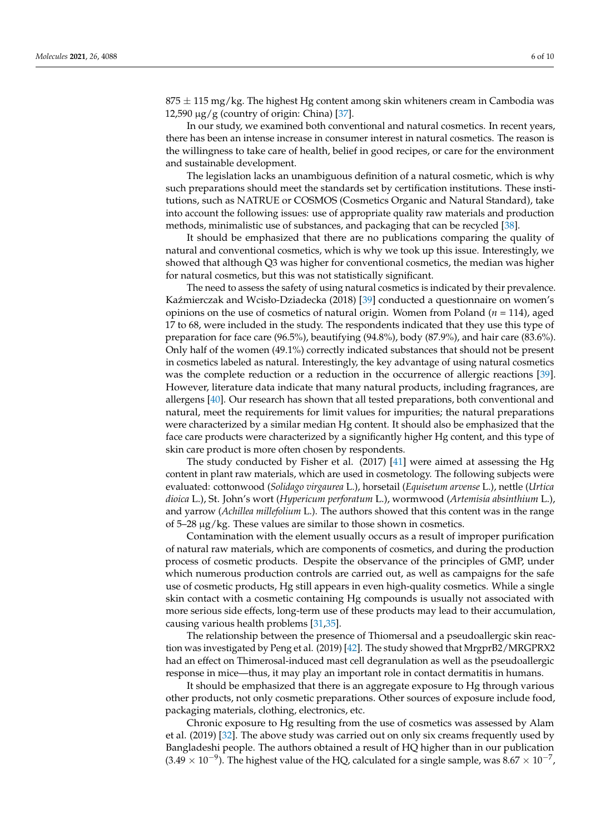$875 \pm 115$  mg/kg. The highest Hg content among skin whiteners cream in Cambodia was 12,590  $\mu$ g/g (country of origin: China) [\[37\]](#page-9-7).

In our study, we examined both conventional and natural cosmetics. In recent years, there has been an intense increase in consumer interest in natural cosmetics. The reason is the willingness to take care of health, belief in good recipes, or care for the environment and sustainable development.

The legislation lacks an unambiguous definition of a natural cosmetic, which is why such preparations should meet the standards set by certification institutions. These institutions, such as NATRUE or COSMOS (Cosmetics Organic and Natural Standard), take into account the following issues: use of appropriate quality raw materials and production methods, minimalistic use of substances, and packaging that can be recycled [\[38\]](#page-9-8).

It should be emphasized that there are no publications comparing the quality of natural and conventional cosmetics, which is why we took up this issue. Interestingly, we showed that although Q3 was higher for conventional cosmetics, the median was higher for natural cosmetics, but this was not statistically significant.

The need to assess the safety of using natural cosmetics is indicated by their prevalence. Kaźmierczak and Wcisło-Dziadecka (2018) [\[39\]](#page-9-9) conducted a questionnaire on women's opinions on the use of cosmetics of natural origin. Women from Poland (*n* = 114), aged 17 to 68, were included in the study. The respondents indicated that they use this type of preparation for face care (96.5%), beautifying (94.8%), body (87.9%), and hair care (83.6%). Only half of the women (49.1%) correctly indicated substances that should not be present in cosmetics labeled as natural. Interestingly, the key advantage of using natural cosmetics was the complete reduction or a reduction in the occurrence of allergic reactions [\[39\]](#page-9-9). However, literature data indicate that many natural products, including fragrances, are allergens [\[40\]](#page-9-10). Our research has shown that all tested preparations, both conventional and natural, meet the requirements for limit values for impurities; the natural preparations were characterized by a similar median Hg content. It should also be emphasized that the face care products were characterized by a significantly higher Hg content, and this type of skin care product is more often chosen by respondents.

The study conducted by Fisher et al. (2017) [\[41\]](#page-9-11) were aimed at assessing the Hg content in plant raw materials, which are used in cosmetology. The following subjects were evaluated: cottonwood (*Solidago virgaurea* L.), horsetail (*Equisetum arvense* L.), nettle (*Urtica dioica* L.), St. John's wort (*Hypericum perforatum* L.), wormwood (*Artemisia absinthium* L.), and yarrow (*Achillea millefolium* L.). The authors showed that this content was in the range of 5–28 µg/kg. These values are similar to those shown in cosmetics.

Contamination with the element usually occurs as a result of improper purification of natural raw materials, which are components of cosmetics, and during the production process of cosmetic products. Despite the observance of the principles of GMP, under which numerous production controls are carried out, as well as campaigns for the safe use of cosmetic products, Hg still appears in even high-quality cosmetics. While a single skin contact with a cosmetic containing Hg compounds is usually not associated with more serious side effects, long-term use of these products may lead to their accumulation, causing various health problems [\[31](#page-9-1)[,35\]](#page-9-5).

The relationship between the presence of Thiomersal and a pseudoallergic skin reaction was investigated by Peng et al. (2019) [\[42\]](#page-9-12). The study showed that MrgprB2/MRGPRX2 had an effect on Thimerosal-induced mast cell degranulation as well as the pseudoallergic response in mice—thus, it may play an important role in contact dermatitis in humans.

It should be emphasized that there is an aggregate exposure to Hg through various other products, not only cosmetic preparations. Other sources of exposure include food, packaging materials, clothing, electronics, etc.

Chronic exposure to Hg resulting from the use of cosmetics was assessed by Alam et al. (2019) [\[32\]](#page-9-2). The above study was carried out on only six creams frequently used by Bangladeshi people. The authors obtained a result of HQ higher than in our publication  $(3.49 \times 10^{-9})$ . The highest value of the HQ, calculated for a single sample, was  $8.67 \times 10^{-7}$ ,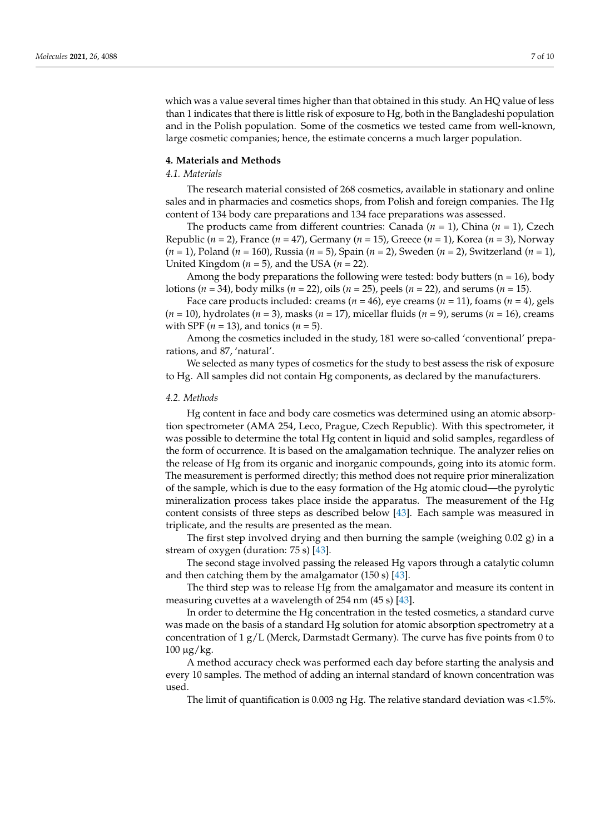which was a value several times higher than that obtained in this study. An HQ value of less than 1 indicates that there is little risk of exposure to Hg, both in the Bangladeshi population and in the Polish population. Some of the cosmetics we tested came from well-known, large cosmetic companies; hence, the estimate concerns a much larger population.

#### **4. Materials and Methods**

#### *4.1. Materials*

The research material consisted of 268 cosmetics, available in stationary and online sales and in pharmacies and cosmetics shops, from Polish and foreign companies. The Hg content of 134 body care preparations and 134 face preparations was assessed.

The products came from different countries: Canada (*n* = 1), China (*n* = 1), Czech Republic (*n* = 2), France (*n* = 47), Germany (*n* = 15), Greece (*n* = 1), Korea (*n* = 3), Norway (*n* = 1), Poland (*n* = 160), Russia (*n* = 5), Spain (*n* = 2), Sweden (*n* = 2), Switzerland (*n* = 1), United Kingdom ( $n = 5$ ), and the USA ( $n = 22$ ).

Among the body preparations the following were tested: body butters ( $n = 16$ ), body lotions (*n* = 34), body milks (*n* = 22), oils (*n* = 25), peels (*n* = 22), and serums (*n* = 15).

Face care products included: creams ( $n = 46$ ), eye creams ( $n = 11$ ), foams ( $n = 4$ ), gels (*n* = 10), hydrolates (*n* = 3), masks (*n* = 17), micellar fluids (*n* = 9), serums (*n* = 16), creams with SPF (*n* = 13), and tonics (*n* = 5).

Among the cosmetics included in the study, 181 were so-called 'conventional' preparations, and 87, 'natural'.

We selected as many types of cosmetics for the study to best assess the risk of exposure to Hg. All samples did not contain Hg components, as declared by the manufacturers.

#### *4.2. Methods*

Hg content in face and body care cosmetics was determined using an atomic absorption spectrometer (AMA 254, Leco, Prague, Czech Republic). With this spectrometer, it was possible to determine the total Hg content in liquid and solid samples, regardless of the form of occurrence. It is based on the amalgamation technique. The analyzer relies on the release of Hg from its organic and inorganic compounds, going into its atomic form. The measurement is performed directly; this method does not require prior mineralization of the sample, which is due to the easy formation of the Hg atomic cloud—the pyrolytic mineralization process takes place inside the apparatus. The measurement of the Hg content consists of three steps as described below [\[43\]](#page-9-13). Each sample was measured in triplicate, and the results are presented as the mean.

The first step involved drying and then burning the sample (weighing  $0.02$  g) in a stream of oxygen (duration: 75 s) [\[43\]](#page-9-13).

The second stage involved passing the released Hg vapors through a catalytic column and then catching them by the amalgamator (150 s) [\[43\]](#page-9-13).

The third step was to release Hg from the amalgamator and measure its content in measuring cuvettes at a wavelength of 254 nm (45 s) [\[43\]](#page-9-13).

In order to determine the Hg concentration in the tested cosmetics, a standard curve was made on the basis of a standard Hg solution for atomic absorption spectrometry at a concentration of  $1 g/L$  (Merck, Darmstadt Germany). The curve has five points from 0 to 100 µg/kg.

A method accuracy check was performed each day before starting the analysis and every 10 samples. The method of adding an internal standard of known concentration was used.

The limit of quantification is 0.003 ng Hg. The relative standard deviation was <1.5%.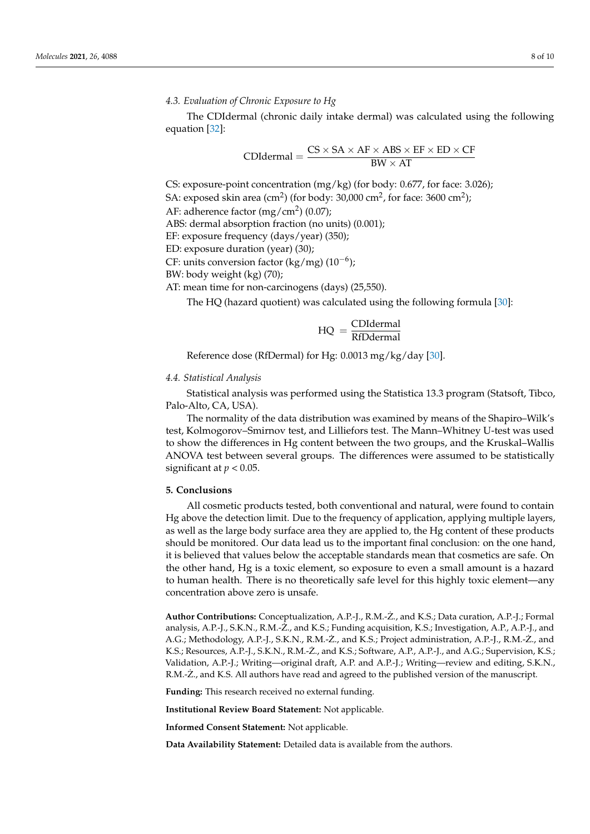#### *4.3. Evaluation of Chronic Exposure to Hg*

The CDIdermal (chronic daily intake dermal) was calculated using the following equation [\[32\]](#page-9-2):

$$
CDIdermal = \frac{CS \times SA \times AF \times ABS \times EF \times ED \times CF}{BW \times AT}
$$

CS: exposure-point concentration (mg/kg) (for body: 0.677, for face: 3.026); SA: exposed skin area (cm<sup>2</sup>) (for body: 30,000 cm<sup>2</sup>, for face: 3600 cm<sup>2</sup>); AF: adherence factor (mg/cm<sup>2</sup>) (0.07); ABS: dermal absorption fraction (no units) (0.001); EF: exposure frequency (days/year) (350); ED: exposure duration (year) (30); CF: units conversion factor (kg/mg)  $(10^{-6})$ ; BW: body weight (kg) (70);

AT: mean time for non-carcinogens (days) (25,550).

The HQ (hazard quotient) was calculated using the following formula [\[30\]](#page-9-0):

$$
HQ = \frac{CDIdermal}{RfDdermal}
$$

Reference dose (RfDermal) for Hg: 0.0013 mg/kg/day [\[30\]](#page-9-0).

#### *4.4. Statistical Analysis*

Statistical analysis was performed using the Statistica 13.3 program (Statsoft, Tibco, Palo-Alto, CA, USA).

The normality of the data distribution was examined by means of the Shapiro–Wilk's test, Kolmogorov–Smirnov test, and Lilliefors test. The Mann–Whitney U-test was used to show the differences in Hg content between the two groups, and the Kruskal–Wallis ANOVA test between several groups. The differences were assumed to be statistically significant at  $p < 0.05$ .

#### **5. Conclusions**

All cosmetic products tested, both conventional and natural, were found to contain Hg above the detection limit. Due to the frequency of application, applying multiple layers, as well as the large body surface area they are applied to, the Hg content of these products should be monitored. Our data lead us to the important final conclusion: on the one hand, it is believed that values below the acceptable standards mean that cosmetics are safe. On the other hand, Hg is a toxic element, so exposure to even a small amount is a hazard to human health. There is no theoretically safe level for this highly toxic element—any concentration above zero is unsafe.

**Author Contributions:** Conceptualization, A.P.-J., R.M.-Z., and K.S.; Data curation, A.P.-J.; Formal ˙ analysis, A.P.-J., S.K.N., R.M.-Z., and K.S.; Funding acquisition, K.S.; Investigation, A.P., A.P.-J., and A.G.; Methodology, A.P.-J., S.K.N., R.M.-Z., and K.S.; Project administration, A.P.-J., R.M.-Z., and K.S.; Resources, A.P.-J., S.K.N., R.M.-Ż., and K.S.; Software, A.P., A.P.-J., and A.G.; Supervision, K.S.; Validation, A.P.-J.; Writing—original draft, A.P. and A.P.-J.; Writing—review and editing, S.K.N., R.M.- $\ddot{Z}$ ., and K.S. All authors have read and agreed to the published version of the manuscript.

**Funding:** This research received no external funding.

**Institutional Review Board Statement:** Not applicable.

**Informed Consent Statement:** Not applicable.

**Data Availability Statement:** Detailed data is available from the authors.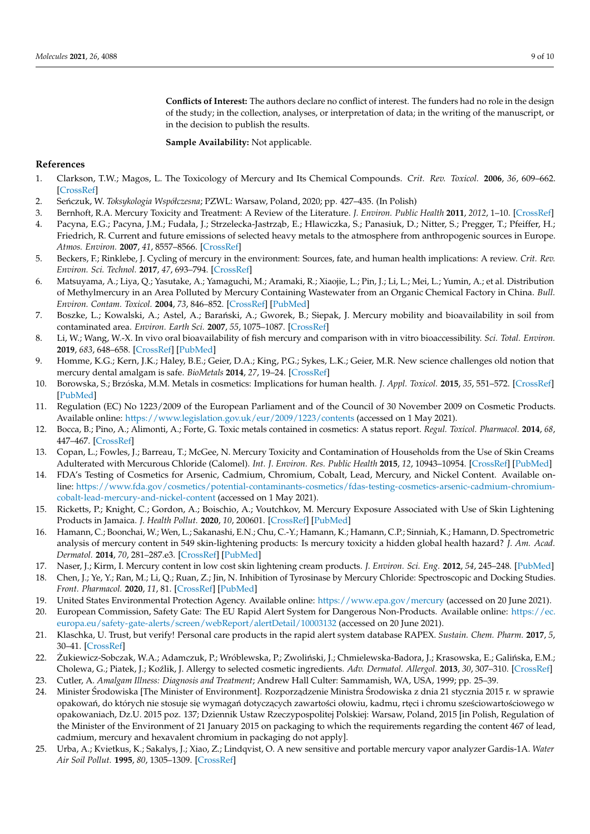**Conflicts of Interest:** The authors declare no conflict of interest. The funders had no role in the design of the study; in the collection, analyses, or interpretation of data; in the writing of the manuscript, or in the decision to publish the results.

**Sample Availability:** Not applicable.

#### **References**

- <span id="page-8-0"></span>1. Clarkson, T.W.; Magos, L. The Toxicology of Mercury and Its Chemical Compounds. *Crit. Rev. Toxicol.* **2006**, *36*, 609–662. [\[CrossRef\]](http://doi.org/10.1080/10408440600845619)
- <span id="page-8-1"></span>2. Se ´nczuk, W. *Toksykologia Współczesna*; PZWL: Warsaw, Poland, 2020; pp. 427–435. (In Polish)
- <span id="page-8-2"></span>3. Bernhoft, R.A. Mercury Toxicity and Treatment: A Review of the Literature. *J. Environ. Public Health* **2011**, *2012*, 1–10. [\[CrossRef\]](http://doi.org/10.1155/2012/460508)
- <span id="page-8-3"></span>4. Pacyna, E.G.; Pacyna, J.M.; Fudała, J.; Strzelecka-Jastrząb, E.; Hlawiczka, S.; Panasiuk, D.; Nitter, S.; Pregger, T.; Pfeiffer, H.; Friedrich, R. Current and future emissions of selected heavy metals to the atmosphere from anthropogenic sources in Europe. *Atmos. Environ.* **2007**, *41*, 8557–8566. [\[CrossRef\]](http://doi.org/10.1016/j.atmosenv.2007.07.040)
- <span id="page-8-4"></span>5. Beckers, F.; Rinklebe, J. Cycling of mercury in the environment: Sources, fate, and human health implications: A review. *Crit. Rev. Environ. Sci. Technol.* **2017**, *47*, 693–794. [\[CrossRef\]](http://doi.org/10.1080/10643389.2017.1326277)
- <span id="page-8-5"></span>6. Matsuyama, A.; Liya, Q.; Yasutake, A.; Yamaguchi, M.; Aramaki, R.; Xiaojie, L.; Pin, J.; Li, L.; Mei, L.; Yumin, A.; et al. Distribution of Methylmercury in an Area Polluted by Mercury Containing Wastewater from an Organic Chemical Factory in China. *Bull. Environ. Contam. Toxicol.* **2004**, *73*, 846–852. [\[CrossRef\]](http://doi.org/10.1007/s00128-004-0504-z) [\[PubMed\]](http://www.ncbi.nlm.nih.gov/pubmed/15669728)
- <span id="page-8-6"></span>7. Boszke, L.; Kowalski, A.; Astel, A.; Barański, A.; Gworek, B.; Siepak, J. Mercury mobility and bioavailability in soil from contaminated area. *Environ. Earth Sci.* **2007**, *55*, 1075–1087. [\[CrossRef\]](http://doi.org/10.1007/s00254-007-1056-4)
- <span id="page-8-7"></span>8. Li, W.; Wang, W.-X. In vivo oral bioavailability of fish mercury and comparison with in vitro bioaccessibility. *Sci. Total. Environ.* **2019**, *683*, 648–658. [\[CrossRef\]](http://doi.org/10.1016/j.scitotenv.2019.05.290) [\[PubMed\]](http://www.ncbi.nlm.nih.gov/pubmed/31150885)
- <span id="page-8-8"></span>9. Homme, K.G.; Kern, J.K.; Haley, B.E.; Geier, D.A.; King, P.G.; Sykes, L.K.; Geier, M.R. New science challenges old notion that mercury dental amalgam is safe. *BioMetals* **2014**, *27*, 19–24. [\[CrossRef\]](http://doi.org/10.1007/s10534-013-9700-9)
- <span id="page-8-9"></span>10. Borowska, S.; Brzóska, M.M. Metals in cosmetics: Implications for human health. *J. Appl. Toxicol.* **2015**, *35*, 551–572. [\[CrossRef\]](http://doi.org/10.1002/jat.3129) [\[PubMed\]](http://www.ncbi.nlm.nih.gov/pubmed/25809475)
- <span id="page-8-10"></span>11. Regulation (EC) No 1223/2009 of the European Parliament and of the Council of 30 November 2009 on Cosmetic Products. Available online: <https://www.legislation.gov.uk/eur/2009/1223/contents> (accessed on 1 May 2021).
- 12. Bocca, B.; Pino, A.; Alimonti, A.; Forte, G. Toxic metals contained in cosmetics: A status report. *Regul. Toxicol. Pharmacol.* **2014**, *68*, 447–467. [\[CrossRef\]](http://doi.org/10.1016/j.yrtph.2014.02.003)
- <span id="page-8-11"></span>13. Copan, L.; Fowles, J.; Barreau, T.; McGee, N. Mercury Toxicity and Contamination of Households from the Use of Skin Creams Adulterated with Mercurous Chloride (Calomel). *Int. J. Environ. Res. Public Health* **2015**, *12*, 10943–10954. [\[CrossRef\]](http://doi.org/10.3390/ijerph120910943) [\[PubMed\]](http://www.ncbi.nlm.nih.gov/pubmed/26364641)
- <span id="page-8-12"></span>14. FDA's Testing of Cosmetics for Arsenic, Cadmium, Chromium, Cobalt, Lead, Mercury, and Nickel Content. Available online: [https://www.fda.gov/cosmetics/potential-contaminants-cosmetics/fdas-testing-cosmetics-arsenic-cadmium-chromium](https://www.fda.gov/cosmetics/potential-contaminants-cosmetics/fdas-testing-cosmetics-arsenic-cadmium-chromium-cobalt-lead-mercury-and-nickel-content)[cobalt-lead-mercury-and-nickel-content](https://www.fda.gov/cosmetics/potential-contaminants-cosmetics/fdas-testing-cosmetics-arsenic-cadmium-chromium-cobalt-lead-mercury-and-nickel-content) (accessed on 1 May 2021).
- <span id="page-8-13"></span>15. Ricketts, P.; Knight, C.; Gordon, A.; Boischio, A.; Voutchkov, M. Mercury Exposure Associated with Use of Skin Lightening Products in Jamaica. *J. Health Pollut.* **2020**, *10*, 200601. [\[CrossRef\]](http://doi.org/10.5696/2156-9614-10.26.200601) [\[PubMed\]](http://www.ncbi.nlm.nih.gov/pubmed/32509402)
- <span id="page-8-14"></span>16. Hamann, C.; Boonchai, W.; Wen, L.; Sakanashi, E.N.; Chu, C.-Y.; Hamann, K.; Hamann, C.P.; Sinniah, K.; Hamann, D. Spectrometric analysis of mercury content in 549 skin-lightening products: Is mercury toxicity a hidden global health hazard? *J. Am. Acad. Dermatol.* **2014**, *70*, 281–287.e3. [\[CrossRef\]](http://doi.org/10.1016/j.jaad.2013.09.050) [\[PubMed\]](http://www.ncbi.nlm.nih.gov/pubmed/24321702)
- <span id="page-8-15"></span>17. Naser, J.; Kirm, I. Mercury content in low cost skin lightening cream products. *J. Environ. Sci. Eng.* **2012**, *54*, 245–248. [\[PubMed\]](http://www.ncbi.nlm.nih.gov/pubmed/24749377)
- <span id="page-8-16"></span>18. Chen, J.; Ye, Y.; Ran, M.; Li, Q.; Ruan, Z.; Jin, N. Inhibition of Tyrosinase by Mercury Chloride: Spectroscopic and Docking Studies. *Front. Pharmacol.* **2020**, *11*, 81. [\[CrossRef\]](http://doi.org/10.3389/fphar.2020.00081) [\[PubMed\]](http://www.ncbi.nlm.nih.gov/pubmed/32210794)
- <span id="page-8-17"></span>19. United States Environmental Protection Agency. Available online: <https://www.epa.gov/mercury> (accessed on 20 June 2021).
- <span id="page-8-18"></span>20. European Commission, Safety Gate: The EU Rapid Alert System for Dangerous Non-Products. Available online: [https://ec.](https://ec.europa.eu/safety-gate-alerts/screen/webReport/alertDetail/10003132) [europa.eu/safety-gate-alerts/screen/webReport/alertDetail/10003132](https://ec.europa.eu/safety-gate-alerts/screen/webReport/alertDetail/10003132) (accessed on 20 June 2021).
- <span id="page-8-19"></span>21. Klaschka, U. Trust, but verify! Personal care products in the rapid alert system database RAPEX. *Sustain. Chem. Pharm.* **2017**, *5*, 30–41. [\[CrossRef\]](http://doi.org/10.1016/j.scp.2017.01.002)
- <span id="page-8-20"></span>22. Żukiewicz-Sobczak, W.A.; Adamczuk, P.; Wróblewska, P.; Zwoliński, J.; Chmielewska-Badora, J.; Krasowska, E.; Galińska, E.M.; Cholewa, G.; Piatek, J.; Koźlik, J. Allergy to selected cosmetic ingredients. Adv. Dermatol. Allergol. 2013, 30, 307-310. [\[CrossRef\]](http://doi.org/10.5114/pdia.2013.38360)
- <span id="page-8-21"></span>23. Cutler, A. *Amalgam Illness: Diagnosis and Treatment*; Andrew Hall Culter: Sammamish, WA, USA, 1999; pp. 25–39.
- <span id="page-8-22"></span>24. Minister Środowiska [The Minister of Environment]. Rozporządzenie Ministra Środowiska z dnia 21 stycznia 2015 r. w sprawie opakowań, do których nie stosuje się wymagań dotyczących zawartości ołowiu, kadmu, rtęci i chromu sześciowartościowego w opakowaniach, Dz.U. 2015 poz. 137; Dziennik Ustaw Rzeczypospolitej Polskiej: Warsaw, Poland, 2015 [in Polish, Regulation of the Minister of the Environment of 21 January 2015 on packaging to which the requirements regarding the content 467 of lead, cadmium, mercury and hexavalent chromium in packaging do not apply].
- <span id="page-8-23"></span>25. Urba, A.; Kvietkus, K.; Sakalys, J.; Xiao, Z.; Lindqvist, O. A new sensitive and portable mercury vapor analyzer Gardis-1A. *Water Air Soil Pollut.* **1995**, *80*, 1305–1309. [\[CrossRef\]](http://doi.org/10.1007/BF01189794)